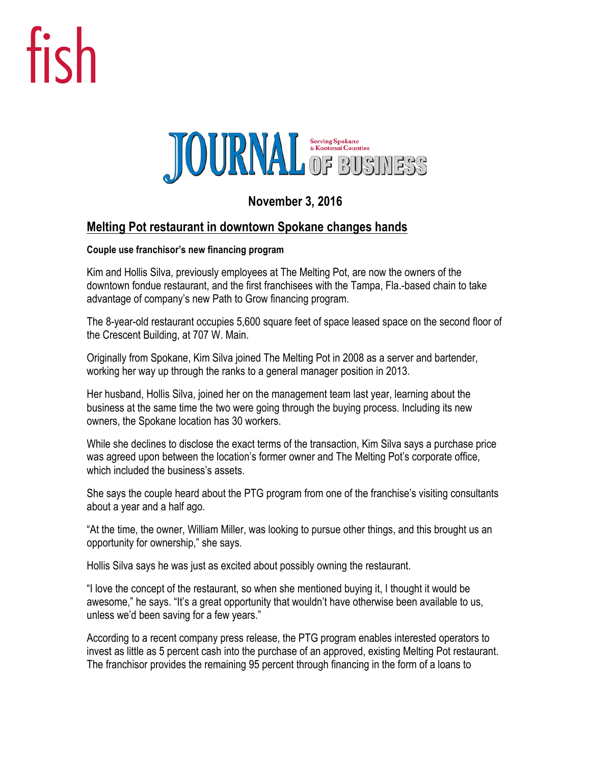## fish



## **November 3, 2016**

## **Melting Pot restaurant in downtown Spokane changes hands**

## **Couple use franchisor's new financing program**

Kim and Hollis Silva, previously employees at The Melting Pot, are now the owners of the downtown fondue restaurant, and the first franchisees with the Tampa, Fla.-based chain to take advantage of company's new Path to Grow financing program.

The 8-year-old restaurant occupies 5,600 square feet of space leased space on the second floor of the Crescent Building, at 707 W. Main.

Originally from Spokane, Kim Silva joined The Melting Pot in 2008 as a server and bartender, working her way up through the ranks to a general manager position in 2013.

Her husband, Hollis Silva, joined her on the management team last year, learning about the business at the same time the two were going through the buying process. Including its new owners, the Spokane location has 30 workers.

While she declines to disclose the exact terms of the transaction, Kim Silva says a purchase price was agreed upon between the location's former owner and The Melting Pot's corporate office, which included the business's assets.

She says the couple heard about the PTG program from one of the franchise's visiting consultants about a year and a half ago.

"At the time, the owner, William Miller, was looking to pursue other things, and this brought us an opportunity for ownership," she says.

Hollis Silva says he was just as excited about possibly owning the restaurant.

"I love the concept of the restaurant, so when she mentioned buying it, I thought it would be awesome," he says. "It's a great opportunity that wouldn't have otherwise been available to us, unless we'd been saving for a few years."

According to a recent company press release, the PTG program enables interested operators to invest as little as 5 percent cash into the purchase of an approved, existing Melting Pot restaurant. The franchisor provides the remaining 95 percent through financing in the form of a loans to